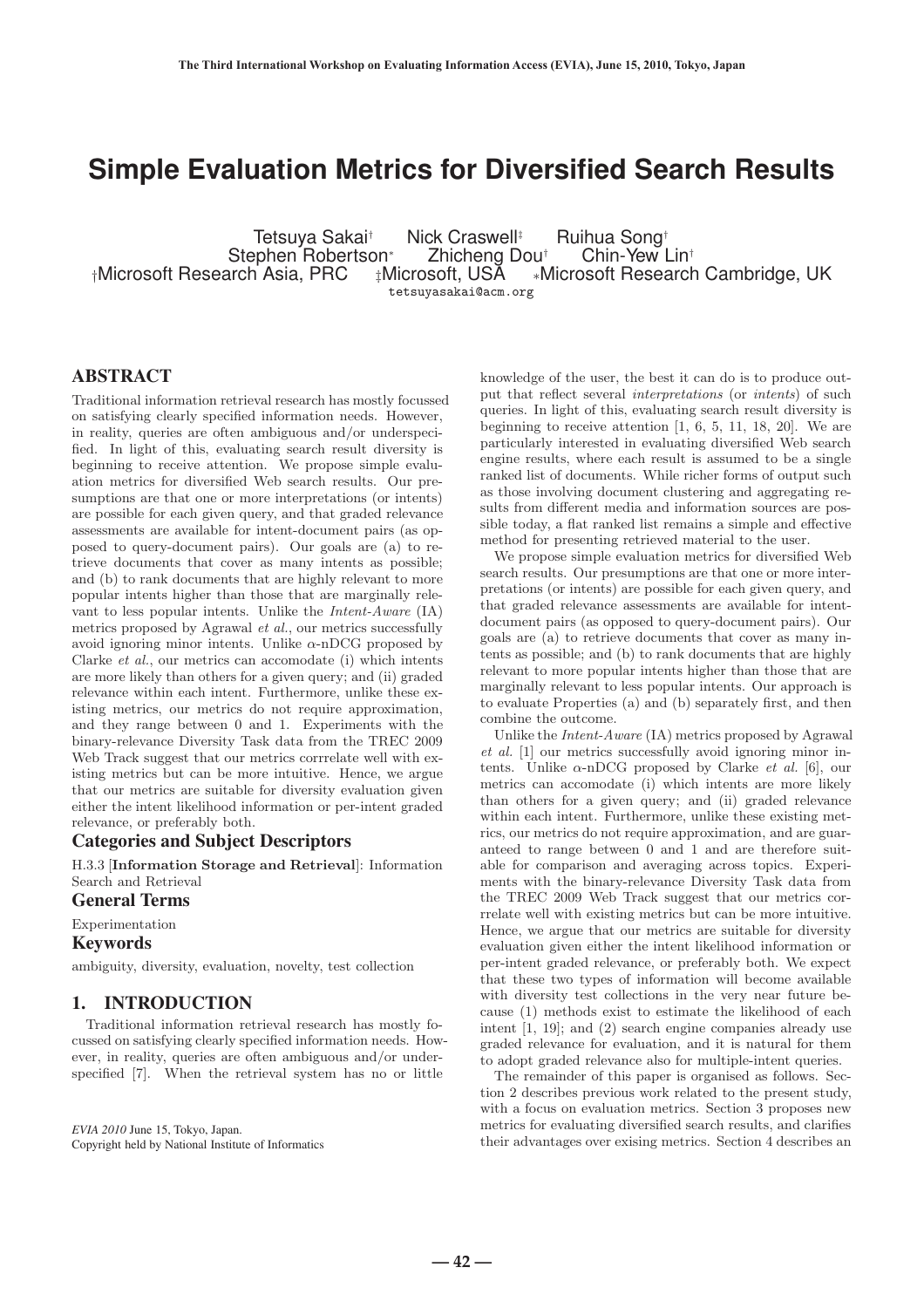# **Simple Evaluation Metrics for Diversified Search Results**

Tetsuya Sakai† Nick Craswell‡ Ruihua Song†<br>phen Robertson\* Zhicheng Dou† Chin-Yew Lin† \*Stephen Robertson<br>Nicrosoft Research Asia, PRC ±t ‡Microsoft, USA ∗Microsoft Research Cambridge, UK tetsuyasakai@acm.org

# **ABSTRACT**

Traditional information retrieval research has mostly focussed on satisfying clearly specified information needs. However, in reality, queries are often ambiguous and/or underspecified. In light of this, evaluating search result diversity is beginning to receive attention. We propose simple evaluation metrics for diversified Web search results. Our presumptions are that one or more interpretations (or intents) are possible for each given query, and that graded relevance assessments are available for intent-document pairs (as opposed to query-document pairs). Our goals are (a) to retrieve documents that cover as many intents as possible; and (b) to rank documents that are highly relevant to more popular intents higher than those that are marginally relevant to less popular intents. Unlike the Intent-Aware (IA) metrics proposed by Agrawal et al., our metrics successfully avoid ignoring minor intents. Unlike  $\alpha$ -nDCG proposed by Clarke et al., our metrics can accomodate (i) which intents are more likely than others for a given query; and (ii) graded relevance within each intent. Furthermore, unlike these existing metrics, our metrics do not require approximation, and they range between 0 and 1. Experiments with the binary-relevance Diversity Task data from the TREC 2009 Web Track suggest that our metrics corrrelate well with existing metrics but can be more intuitive. Hence, we argue that our metrics are suitable for diversity evaluation given either the intent likelihood information or per-intent graded relevance, or preferably both.

#### Categories and Subject Descriptors

H.3.3 [**Information Storage and Retrieval**]: Information Search and Retrieval

# General Terms

Experimentation

### Keywords

ambiguity, diversity, evaluation, novelty, test collection

### 1. INTRODUCTION

Traditional information retrieval research has mostly focussed on satisfying clearly specified information needs. However, in reality, queries are often ambiguous and/or underspecified [7]. When the retrieval system has no or little

*EVIA 2010* June 15, Tokyo, Japan. Copyright held by National Institute of Informatics knowledge of the user, the best it can do is to produce output that reflect several interpretations (or intents) of such queries. In light of this, evaluating search result diversity is beginning to receive attention [1, 6, 5, 11, 18, 20]. We are particularly interested in evaluating diversified Web search engine results, where each result is assumed to be a single ranked list of documents. While richer forms of output such as those involving document clustering and aggregating results from different media and information sources are possible today, a flat ranked list remains a simple and effective method for presenting retrieved material to the user.

We propose simple evaluation metrics for diversified Web search results. Our presumptions are that one or more interpretations (or intents) are possible for each given query, and that graded relevance assessments are available for intentdocument pairs (as opposed to query-document pairs). Our goals are (a) to retrieve documents that cover as many intents as possible; and (b) to rank documents that are highly relevant to more popular intents higher than those that are marginally relevant to less popular intents. Our approach is to evaluate Properties (a) and (b) separately first, and then combine the outcome.

Unlike the Intent-Aware (IA) metrics proposed by Agrawal et al. [1] our metrics successfully avoid ignoring minor intents. Unlike  $\alpha$ -nDCG proposed by Clarke *et al.* [6], our metrics can accomodate (i) which intents are more likely than others for a given query; and (ii) graded relevance within each intent. Furthermore, unlike these existing metrics, our metrics do not require approximation, and are guaranteed to range between 0 and 1 and are therefore suitable for comparison and averaging across topics. Experiments with the binary-relevance Diversity Task data from the TREC 2009 Web Track suggest that our metrics corrrelate well with existing metrics but can be more intuitive. Hence, we argue that our metrics are suitable for diversity evaluation given either the intent likelihood information or per-intent graded relevance, or preferably both. We expect that these two types of information will become available with diversity test collections in the very near future because (1) methods exist to estimate the likelihood of each intent [1, 19]; and (2) search engine companies already use graded relevance for evaluation, and it is natural for them to adopt graded relevance also for multiple-intent queries.

The remainder of this paper is organised as follows. Section 2 describes previous work related to the present study, with a focus on evaluation metrics. Section 3 proposes new metrics for evaluating diversified search results, and clarifies their advantages over exising metrics. Section 4 describes an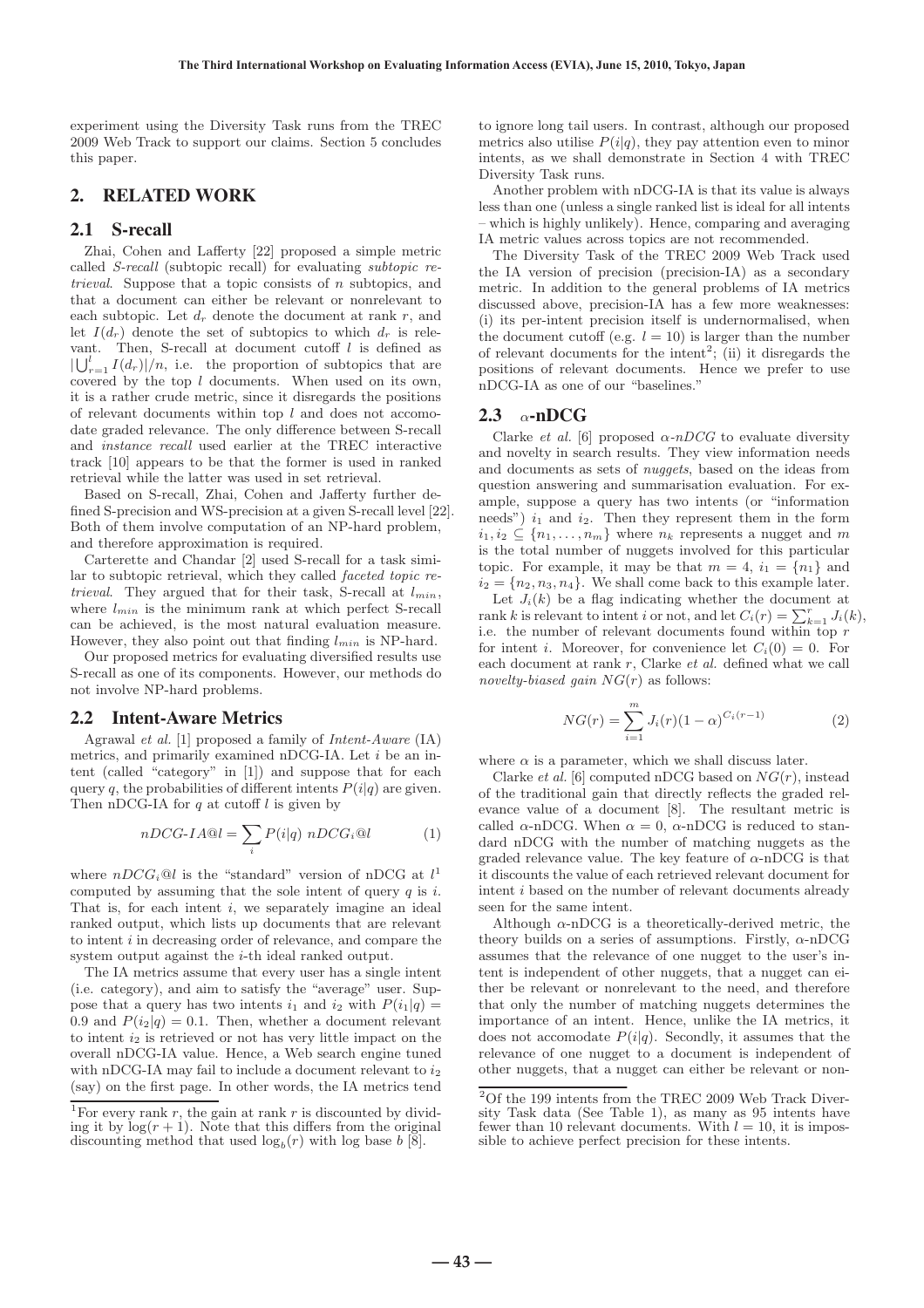experiment using the Diversity Task runs from the TREC 2009 Web Track to support our claims. Section 5 concludes this paper.

#### 2. RELATED WORK

#### 2.1 S-recall

Zhai, Cohen and Lafferty [22] proposed a simple metric called S-recall (subtopic recall) for evaluating subtopic retrieval. Suppose that a topic consists of n subtopics, and that a document can either be relevant or nonrelevant to each subtopic. Let  $d_r$  denote the document at rank  $r$ , and let  $I(d_r)$  denote the set of subtopics to which  $d_r$  is relevant. Then, S-recall at document cutoff  $l$  is defined as  $|\bigcup_{r=1}^{l} I(d_r)|/n$ , i.e. the proportion of subtopics that are covered by the top  $l$  documents. When used on its own, it is a rather crude metric, since it disregards the positions of relevant documents within top  $l$  and does not accomodate graded relevance. The only difference between S-recall and instance recall used earlier at the TREC interactive track [10] appears to be that the former is used in ranked retrieval while the latter was used in set retrieval.

Based on S-recall, Zhai, Cohen and Jafferty further defined S-precision and WS-precision at a given S-recall level [22]. Both of them involve computation of an NP-hard problem, and therefore approximation is required.

Carterette and Chandar [2] used S-recall for a task similar to subtopic retrieval, which they called faceted topic retrieval. They argued that for their task, S-recall at  $l_{min}$ , where l*min* is the minimum rank at which perfect S-recall can be achieved, is the most natural evaluation measure. However, they also point out that finding l*min* is NP-hard.

Our proposed metrics for evaluating diversified results use S-recall as one of its components. However, our methods do not involve NP-hard problems.

#### 2.2 Intent-Aware Metrics

Agrawal et al. [1] proposed a family of Intent-Aware (IA) metrics, and primarily examined nDCG-IA. Let i be an intent (called "category" in [1]) and suppose that for each query q, the probabilities of different intents  $P(i|q)$  are given. Then nDCG-IA for  $q$  at cutoff  $l$  is given by

$$
nDCG-IA@l = \sum_{i} P(i|q) nDCG_i@l \tag{1}
$$

where  $nDCG_i@l$  is the "standard" version of nDCG at  $l^1$ computed by assuming that the sole intent of query  $q$  is  $i$ . That is, for each intent *i*, we separately imagine an ideal ranked output, which lists up documents that are relevant to intent  $i$  in decreasing order of relevance, and compare the system output against the i-th ideal ranked output.

The IA metrics assume that every user has a single intent (i.e. category), and aim to satisfy the "average" user. Suppose that a query has two intents  $i_1$  and  $i_2$  with  $P(i_1|q)$  = 0.9 and  $P(i_2|q)=0.1$ . Then, whether a document relevant to intent  $i_2$  is retrieved or not has very little impact on the overall nDCG-IA value. Hence, a Web search engine tuned with nDCG-IA may fail to include a document relevant to  $i_2$ (say) on the first page. In other words, the IA metrics tend

to ignore long tail users. In contrast, although our proposed metrics also utilise  $P(i|q)$ , they pay attention even to minor intents, as we shall demonstrate in Section 4 with TREC Diversity Task runs.

Another problem with nDCG-IA is that its value is always less than one (unless a single ranked list is ideal for all intents – which is highly unlikely). Hence, comparing and averaging IA metric values across topics are not recommended.

The Diversity Task of the TREC 2009 Web Track used the IA version of precision (precision-IA) as a secondary metric. In addition to the general problems of IA metrics discussed above, precision-IA has a few more weaknesses: (i) its per-intent precision itself is undernormalised, when the document cutoff (e.g.  $l = 10$ ) is larger than the number of relevant documents for the intent<sup>2</sup>; (ii) it disregards the positions of relevant documents. Hence we prefer to use nDCG-IA as one of our "baselines."

#### 2.3  $\alpha$ -nDCG

Clarke et al. [6] proposed  $\alpha$ -nDCG to evaluate diversity and novelty in search results. They view information needs and documents as sets of nuggets, based on the ideas from question answering and summarisation evaluation. For example, suppose a query has two intents (or "information needs")  $i_1$  and  $i_2$ . Then they represent them in the form  $i_1, i_2 \subseteq \{n_1, \ldots, n_m\}$  where  $n_k$  represents a nugget and m is the total number of nuggets involved for this particular topic. For example, it may be that  $m = 4$ ,  $i_1 = \{n_1\}$  and  $i_2 = \{n_2, n_3, n_4\}.$  We shall come back to this example later.

Let  $J_i(k)$  be a flag indicating whether the document at rank k is relevant to intent *i* or not, and let  $C_i(r) = \sum_{k=1}^r J_i(k)$ , i.e. the number of relevant documents found within top r for intent *i*. Moreover, for convenience let  $C_i(0) = 0$ . For each document at rank r, Clarke et al. defined what we call novelty-biased gain  $NG(r)$  as follows:

$$
NG(r) = \sum_{i=1}^{m} J_i(r)(1-\alpha)^{C_i(r-1)}
$$
\n(2)

where  $\alpha$  is a parameter, which we shall discuss later.

Clarke *et al.* [6] computed nDCG based on  $NG(r)$ , instead of the traditional gain that directly reflects the graded relevance value of a document [8]. The resultant metric is called  $\alpha$ -nDCG. When  $\alpha = 0$ ,  $\alpha$ -nDCG is reduced to standard nDCG with the number of matching nuggets as the graded relevance value. The key feature of  $\alpha$ -nDCG is that it discounts the value of each retrieved relevant document for intent i based on the number of relevant documents already seen for the same intent.

Although  $\alpha$ -nDCG is a theoretically-derived metric, the theory builds on a series of assumptions. Firstly,  $\alpha$ -nDCG assumes that the relevance of one nugget to the user's intent is independent of other nuggets, that a nugget can either be relevant or nonrelevant to the need, and therefore that only the number of matching nuggets determines the importance of an intent. Hence, unlike the IA metrics, it does not accomodate  $P(i|q)$ . Secondly, it assumes that the relevance of one nugget to a document is independent of other nuggets, that a nugget can either be relevant or non-

<sup>&</sup>lt;sup>1</sup>For every rank r, the gain at rank r is discounted by dividing it by  $log(r + 1)$ . Note that this differs from the original discounting method that used  $\log_b(r)$  with log base b [8].

 $20f$  the 199 intents from the TREC 2009 Web Track Diversity Task data (See Table 1), as many as 95 intents have fewer than 10 relevant documents. With  $l = 10$ , it is impossible to achieve perfect precision for these intents.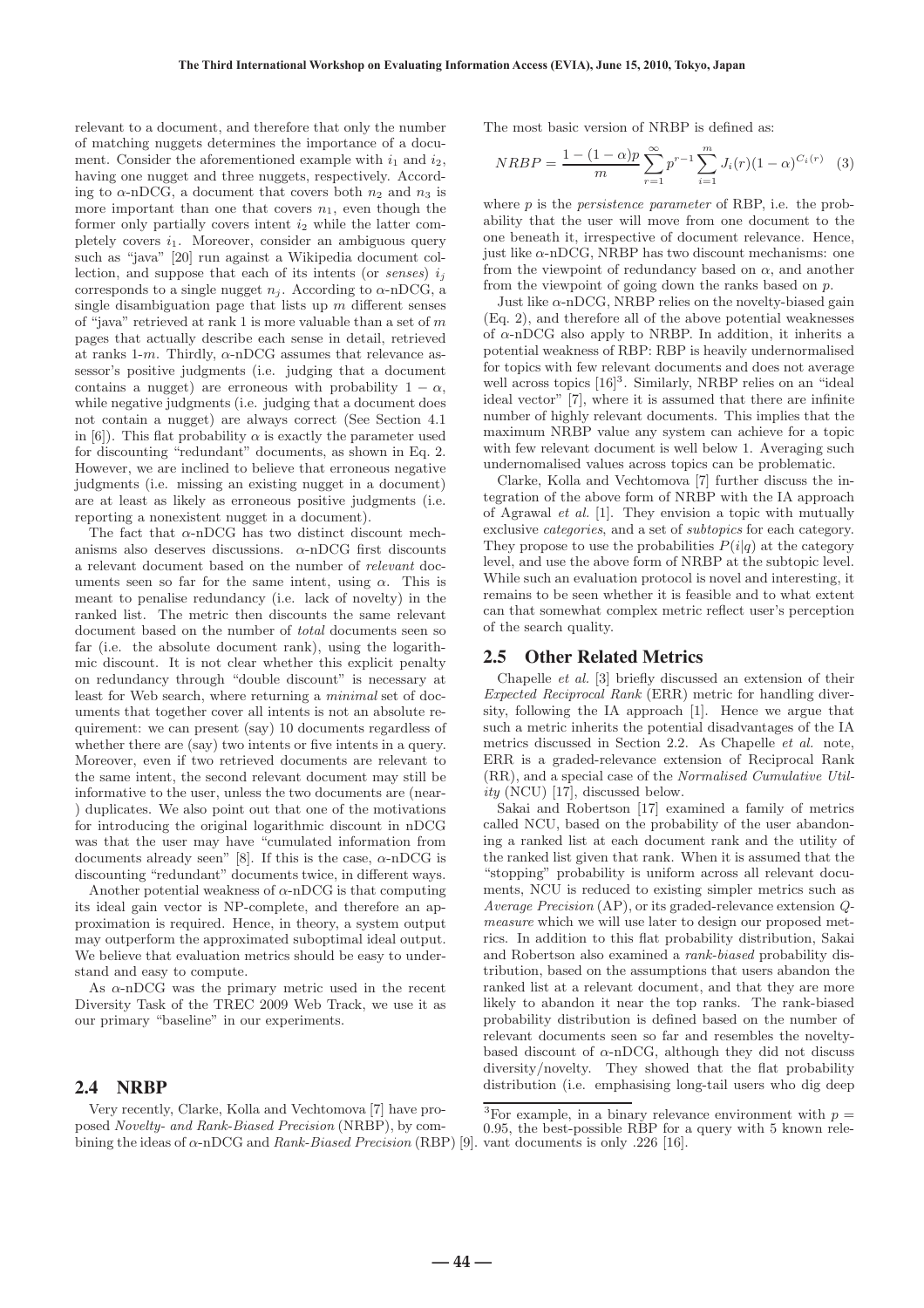relevant to a document, and therefore that only the number of matching nuggets determines the importance of a document. Consider the aforementioned example with  $i_1$  and  $i_2$ , having one nugget and three nuggets, respectively. According to  $\alpha$ -nDCG, a document that covers both  $n_2$  and  $n_3$  is more important than one that covers  $n_1$ , even though the former only partially covers intent  $i_2$  while the latter completely covers  $i_1$ . Moreover, consider an ambiguous query such as "java" [20] run against a Wikipedia document collection, and suppose that each of its intents (or *senses*)  $i_j$ corresponds to a single nugget  $n_j$ . According to  $\alpha$ -nDCG, a single disambiguation page that lists up  $m$  different senses of "java" retrieved at rank 1 is more valuable than a set of  $m$ pages that actually describe each sense in detail, retrieved at ranks 1-m. Thirdly,  $\alpha$ -nDCG assumes that relevance assessor's positive judgments (i.e. judging that a document contains a nugget) are erroneous with probability  $1 - \alpha$ , while negative judgments (i.e. judging that a document does not contain a nugget) are always correct (See Section 4.1 in [6]). This flat probability  $\alpha$  is exactly the parameter used for discounting "redundant" documents, as shown in Eq. 2. However, we are inclined to believe that erroneous negative judgments (i.e. missing an existing nugget in a document) are at least as likely as erroneous positive judgments (i.e. reporting a nonexistent nugget in a document).

The fact that  $\alpha$ -nDCG has two distinct discount mechanisms also deserves discussions.  $\alpha$ -nDCG first discounts a relevant document based on the number of relevant documents seen so far for the same intent, using  $\alpha$ . This is meant to penalise redundancy (i.e. lack of novelty) in the ranked list. The metric then discounts the same relevant document based on the number of total documents seen so far (i.e. the absolute document rank), using the logarithmic discount. It is not clear whether this explicit penalty on redundancy through "double discount" is necessary at least for Web search, where returning a minimal set of documents that together cover all intents is not an absolute requirement: we can present (say) 10 documents regardless of whether there are (say) two intents or five intents in a query. Moreover, even if two retrieved documents are relevant to the same intent, the second relevant document may still be informative to the user, unless the two documents are (near- ) duplicates. We also point out that one of the motivations for introducing the original logarithmic discount in nDCG was that the user may have "cumulated information from documents already seen" [8]. If this is the case,  $\alpha$ -nDCG is discounting "redundant" documents twice, in different ways.

Another potential weakness of  $\alpha$ -nDCG is that computing its ideal gain vector is NP-complete, and therefore an approximation is required. Hence, in theory, a system output may outperform the approximated suboptimal ideal output. We believe that evaluation metrics should be easy to understand and easy to compute.

As  $\alpha$ -nDCG was the primary metric used in the recent Diversity Task of the TREC 2009 Web Track, we use it as our primary "baseline" in our experiments.

#### 2.4 NRBP

Very recently, Clarke, Kolla and Vechtomova [7] have proposed Novelty- and Rank-Biased Precision (NRBP), by combining the ideas of  $\alpha$ -nDCG and  $Rank\text{-}Biased\text{ }Precision$  (RBP) [9]. vant documents is only .226 [16].

The most basic version of NRBP is defined as:

$$
NRBP = \frac{1 - (1 - \alpha)p}{m} \sum_{r=1}^{\infty} p^{r-1} \sum_{i=1}^{m} J_i(r)(1 - \alpha)^{C_i(r)} \quad (3)
$$

where  $p$  is the *persistence parameter* of RBP, i.e. the probability that the user will move from one document to the one beneath it, irrespective of document relevance. Hence, just like  $\alpha$ -nDCG, NRBP has two discount mechanisms: one from the viewpoint of redundancy based on  $\alpha$ , and another from the viewpoint of going down the ranks based on  $p$ .

Just like  $\alpha$ -nDCG, NRBP relies on the novelty-biased gain (Eq. 2), and therefore all of the above potential weaknesses of  $\alpha$ -nDCG also apply to NRBP. In addition, it inherits a potential weakness of RBP: RBP is heavily undernormalised for topics with few relevant documents and does not average well across topics  $[16]$ <sup>3</sup>. Similarly, NRBP relies on an "ideal ideal vector" [7], where it is assumed that there are infinite number of highly relevant documents. This implies that the maximum NRBP value any system can achieve for a topic with few relevant document is well below 1. Averaging such undernomalised values across topics can be problematic.

Clarke, Kolla and Vechtomova [7] further discuss the integration of the above form of NRBP with the IA approach of Agrawal et al. [1]. They envision a topic with mutually exclusive categories, and a set of subtopics for each category. They propose to use the probabilities  $P(i|q)$  at the category level, and use the above form of NRBP at the subtopic level. While such an evaluation protocol is novel and interesting, it remains to be seen whether it is feasible and to what extent can that somewhat complex metric reflect user's perception of the search quality.

#### 2.5 Other Related Metrics

Chapelle et al. [3] briefly discussed an extension of their Expected Reciprocal Rank (ERR) metric for handling diversity, following the IA approach [1]. Hence we argue that such a metric inherits the potential disadvantages of the IA metrics discussed in Section 2.2. As Chapelle et al. note, ERR is a graded-relevance extension of Reciprocal Rank (RR), and a special case of the Normalised Cumulative Utility (NCU) [17], discussed below.

Sakai and Robertson [17] examined a family of metrics called NCU, based on the probability of the user abandoning a ranked list at each document rank and the utility of the ranked list given that rank. When it is assumed that the "stopping" probability is uniform across all relevant documents, NCU is reduced to existing simpler metrics such as Average Precision (AP), or its graded-relevance extension Qmeasure which we will use later to design our proposed metrics. In addition to this flat probability distribution, Sakai and Robertson also examined a rank-biased probability distribution, based on the assumptions that users abandon the ranked list at a relevant document, and that they are more likely to abandon it near the top ranks. The rank-biased probability distribution is defined based on the number of relevant documents seen so far and resembles the noveltybased discount of  $\alpha$ -nDCG, although they did not discuss diversity/novelty. They showed that the flat probability distribution (i.e. emphasising long-tail users who dig deep

<sup>&</sup>lt;sup>3</sup>For example, in a binary relevance environment with  $p =$  $0.95$ , the best-possible RBP for a query with 5 known rele-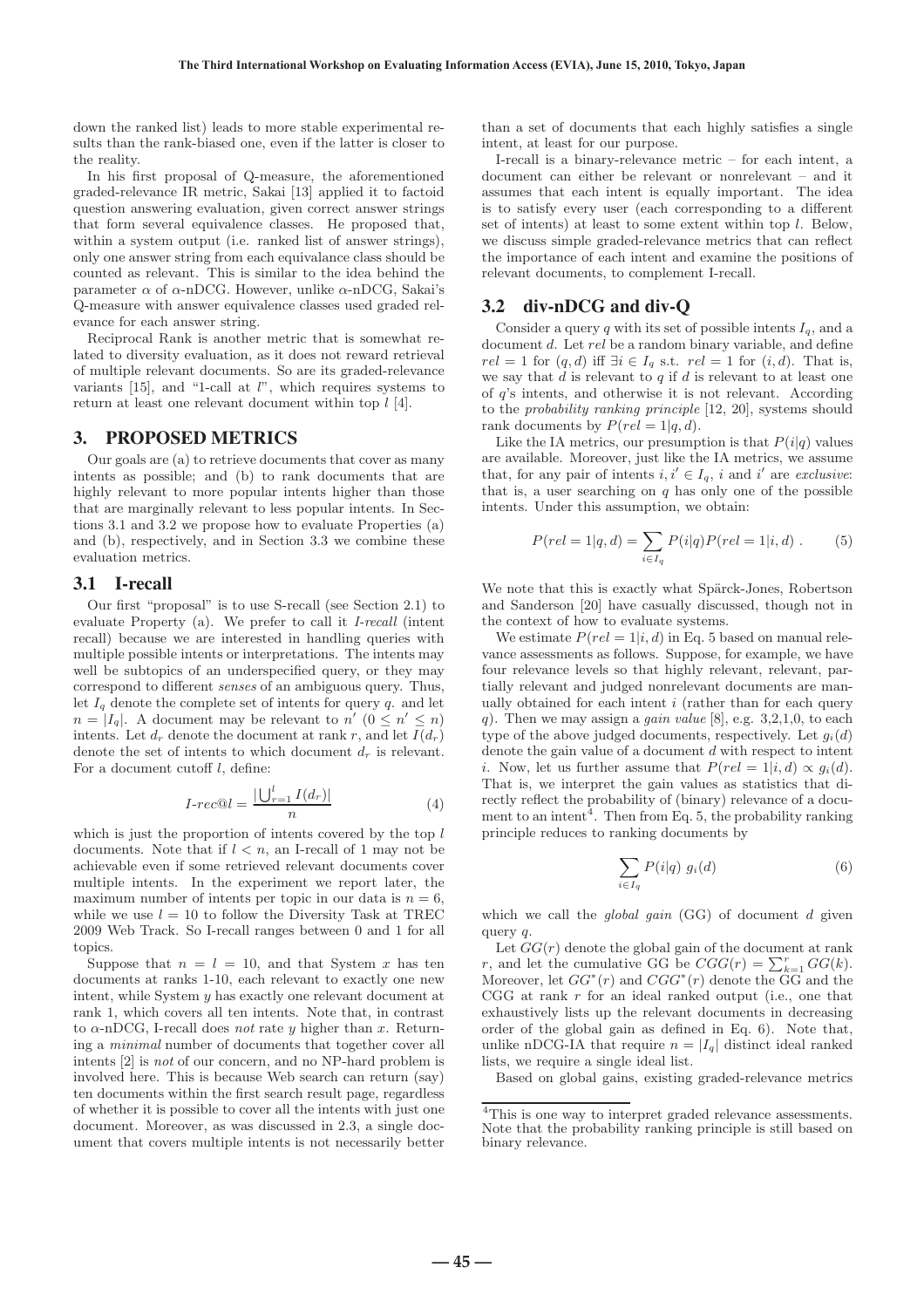down the ranked list) leads to more stable experimental results than the rank-biased one, even if the latter is closer to the reality.

In his first proposal of Q-measure, the aforementioned graded-relevance IR metric, Sakai [13] applied it to factoid question answering evaluation, given correct answer strings that form several equivalence classes. He proposed that, within a system output (i.e. ranked list of answer strings), only one answer string from each equivalance class should be counted as relevant. This is similar to the idea behind the parameter  $\alpha$  of  $\alpha$ -nDCG. However, unlike  $\alpha$ -nDCG, Sakai's Q-measure with answer equivalence classes used graded relevance for each answer string.

Reciprocal Rank is another metric that is somewhat related to diversity evaluation, as it does not reward retrieval of multiple relevant documents. So are its graded-relevance variants  $[15]$ , and "1-call at  $l$ ", which requires systems to return at least one relevant document within top  $l$  [4].

#### 3. PROPOSED METRICS

Our goals are (a) to retrieve documents that cover as many intents as possible; and (b) to rank documents that are highly relevant to more popular intents higher than those that are marginally relevant to less popular intents. In Sections 3.1 and 3.2 we propose how to evaluate Properties (a) and (b), respectively, and in Section 3.3 we combine these evaluation metrics.

#### 3.1 I-recall

Our first "proposal" is to use S-recall (see Section 2.1) to evaluate Property (a). We prefer to call it I-recall (intent recall) because we are interested in handling queries with multiple possible intents or interpretations. The intents may well be subtopics of an underspecified query, or they may correspond to different senses of an ambiguous query. Thus, let  $I_q$  denote the complete set of intents for query  $q$ . and let  $n = |I_q|$ . A document may be relevant to  $n'$  ( $0 \leq n' \leq n$ ) intents. Let  $d_r$  denote the document at rank r, and let  $I(d_r)$ denote the set of intents to which document  $d_r$  is relevant. For a document cutoff l, define:

$$
I\text{-}rec@l = \frac{|\bigcup_{r=1}^{l} I(d_r)|}{n} \tag{4}
$$

which is just the proportion of intents covered by the top  $l$ documents. Note that if  $l < n$ , an I-recall of 1 may not be achievable even if some retrieved relevant documents cover multiple intents. In the experiment we report later, the maximum number of intents per topic in our data is  $n = 6$ . while we use  $l = 10$  to follow the Diversity Task at TREC 2009 Web Track. So I-recall ranges between 0 and 1 for all topics.

Suppose that  $n = l = 10$ , and that System x has ten documents at ranks 1-10, each relevant to exactly one new intent, while System y has exactly one relevant document at rank 1, which covers all ten intents. Note that, in contrast to  $\alpha$ -nDCG, I-recall does not rate y higher than x. Returning a minimal number of documents that together cover all intents [2] is not of our concern, and no NP-hard problem is involved here. This is because Web search can return (say) ten documents within the first search result page, regardless of whether it is possible to cover all the intents with just one document. Moreover, as was discussed in 2.3, a single document that covers multiple intents is not necessarily better than a set of documents that each highly satisfies a single intent, at least for our purpose.

I-recall is a binary-relevance metric – for each intent, a document can either be relevant or nonrelevant – and it assumes that each intent is equally important. The idea is to satisfy every user (each corresponding to a different set of intents) at least to some extent within top  $l$ . Below, we discuss simple graded-relevance metrics that can reflect the importance of each intent and examine the positions of relevant documents, to complement I-recall.

# 3.2 div-nDCG and div-Q

Consider a query  $q$  with its set of possible intents  $I_q$ , and a document d. Let rel be a random binary variable, and define  $rel = 1$  for  $(q, d)$  iff  $\exists i \in I_q$  s.t.  $rel = 1$  for  $(i, d)$ . That is, we say that  $d$  is relevant to  $q$  if  $d$  is relevant to at least one of q's intents, and otherwise it is not relevant. According to the probability ranking principle [12, 20], systems should rank documents by  $P(rel = 1|q, d)$ .

Like the IA metrics, our presumption is that  $P(i|q)$  values are available. Moreover, just like the IA metrics, we assume that, for any pair of intents  $i, i' \in I_q$ , i and i' are *exclusive*: that is, a user searching on  $q$  has only one of the possible intents. Under this assumption, we obtain:

$$
P(rel = 1|q, d) = \sum_{i \in I_q} P(i|q)P(rel = 1|i, d).
$$
 (5)

We note that this is exactly what Spärck-Jones, Robertson and Sanderson [20] have casually discussed, though not in the context of how to evaluate systems.

We estimate  $P(rel = 1|i, d)$  in Eq. 5 based on manual relevance assessments as follows. Suppose, for example, we have four relevance levels so that highly relevant, relevant, partially relevant and judged nonrelevant documents are manually obtained for each intent  $i$  (rather than for each query q). Then we may assign a *gain value* [8], e.g.  $3,2,1,0$ , to each type of the above judged documents, respectively. Let  $g_i(d)$ denote the gain value of a document  $d$  with respect to intent i. Now, let us further assume that  $P(rel = 1|i, d) \propto q_i(d)$ . That is, we interpret the gain values as statistics that directly reflect the probability of (binary) relevance of a document to an intent<sup>4</sup>. Then from Eq. 5, the probability ranking principle reduces to ranking documents by

$$
\sum_{i \in I_q} P(i|q) \ g_i(d) \tag{6}
$$

which we call the *global gain*  $(GG)$  of document d given query *a*.

Let  $GG(r)$  denote the global gain of the document at rank *r*, and let the cumulative GG be  $CGG(r) = \sum_{k=1}^{r} GG(k)$ . Moreover, let  $GG^*(r)$  and  $CGG^*(r)$  denote the  $\widetilde{GG}$  and the CGG at rank  $r$  for an ideal ranked output (i.e., one that exhaustively lists up the relevant documents in decreasing order of the global gain as defined in Eq. 6). Note that, unlike nDCG-IA that require  $n = |I_q|$  distinct ideal ranked lists, we require a single ideal list.

Based on global gains, existing graded-relevance metrics

 $-45 -$ 

 $^4\mathrm{This}$  is one way to interpret graded relevance assessments. Note that the probability ranking principle is still based on binary relevance.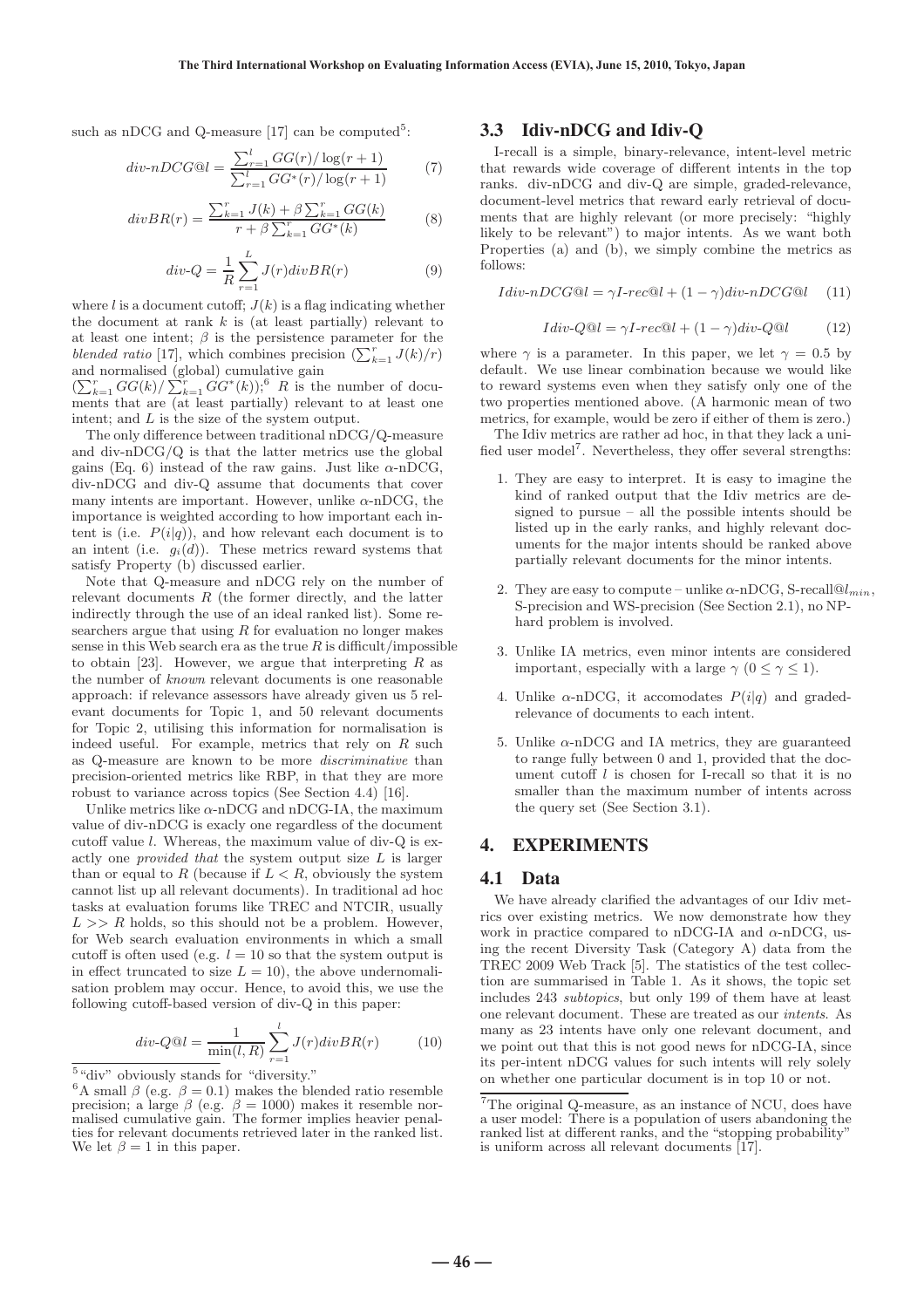such as nDCG and Q-measure  $[17]$  can be computed<sup>5</sup>:

$$
div\text{-}nDCG@l = \frac{\sum_{r=1}^{l} GG(r)/\log(r+1)}{\sum_{r=1}^{l} GG^*(r)/\log(r+1)}
$$
(7)

$$
divBR(r) = \frac{\sum_{k=1}^{r} J(k) + \beta \sum_{k=1}^{r} GG(k)}{r + \beta \sum_{k=1}^{r} GG^{*}(k)}
$$
(8)

$$
div-Q = \frac{1}{R} \sum_{r=1}^{L} J(r)divBR(r)
$$
\n(9)

where l is a document cutoff;  $J(k)$  is a flag indicating whether the document at rank  $k$  is (at least partially) relevant to at least one intent;  $\beta$  is the persistence parameter for the blended ratio [17], which combines precision  $\left(\sum_{k=1}^{r} J(k)/r\right)$ and normalised (global) cumulative gain

 $\left(\sum_{k=1}^r GG(k)/\sum_{k=1}^r GG^*(k)\right),^6$  *R* is the number of documents that are (at least partially) relevant to at least one intent; and L is the size of the system output.

The only difference between traditional nDCG/Q-measure and div-nDCG/Q is that the latter metrics use the global gains (Eq. 6) instead of the raw gains. Just like  $\alpha$ -nDCG, div-nDCG and div-Q assume that documents that cover many intents are important. However, unlike  $\alpha$ -nDCG, the importance is weighted according to how important each intent is (i.e.  $P(i|q)$ ), and how relevant each document is to an intent (i.e.  $g_i(d)$ ). These metrics reward systems that satisfy Property (b) discussed earlier.

Note that Q-measure and nDCG rely on the number of relevant documents R (the former directly, and the latter indirectly through the use of an ideal ranked list). Some researchers argue that using  $R$  for evaluation no longer makes sense in this Web search era as the true  $R$  is difficult/impossible to obtain [23]. However, we argue that interpreting  $R$  as the number of known relevant documents is one reasonable approach: if relevance assessors have already given us 5 relevant documents for Topic 1, and 50 relevant documents for Topic 2, utilising this information for normalisation is indeed useful. For example, metrics that rely on  $R$  such as Q-measure are known to be more discriminative than precision-oriented metrics like RBP, in that they are more robust to variance across topics (See Section 4.4) [16].

Unlike metrics like  $\alpha$ -nDCG and nDCG-IA, the maximum value of div-nDCG is exacly one regardless of the document cutoff value l. Whereas, the maximum value of div-Q is exactly one provided that the system output size L is larger than or equal to R (because if  $L < R$ , obviously the system cannot list up all relevant documents). In traditional ad hoc tasks at evaluation forums like TREC and NTCIR, usually  $L >> R$  holds, so this should not be a problem. However, for Web search evaluation environments in which a small cutoff is often used (e.g.  $l = 10$  so that the system output is in effect truncated to size  $L = 10$ ), the above undernomalisation problem may occur. Hence, to avoid this, we use the following cutoff-based version of div-Q in this paper:

$$
div-Q@l = \frac{1}{\min(l,R)} \sum_{r=1}^{l} J(r)divBR(r)
$$
 (10)

#### 3.3 Idiv-nDCG and Idiv-Q

I-recall is a simple, binary-relevance, intent-level metric that rewards wide coverage of different intents in the top ranks. div-nDCG and div-Q are simple, graded-relevance, document-level metrics that reward early retrieval of documents that are highly relevant (or more precisely: "highly likely to be relevant") to major intents. As we want both Properties (a) and (b), we simply combine the metrics as follows:

$$
Idiv\text{-}nDCG@l = \gamma I\text{-}rec@l + (1-\gamma)div\text{-}nDCG@l \quad (11)
$$

$$
Idiv\text{-}Q@l = \gamma I\text{-}rec@l + (1-\gamma)div\text{-}Q@l \tag{12}
$$

where  $\gamma$  is a parameter. In this paper, we let  $\gamma = 0.5$  by default. We use linear combination because we would like to reward systems even when they satisfy only one of the two properties mentioned above. (A harmonic mean of two metrics, for example, would be zero if either of them is zero.)

The Idiv metrics are rather ad hoc, in that they lack a unified user model<sup>7</sup>. Nevertheless, they offer several strengths:

- 1. They are easy to interpret. It is easy to imagine the kind of ranked output that the Idiv metrics are designed to pursue – all the possible intents should be listed up in the early ranks, and highly relevant documents for the major intents should be ranked above partially relevant documents for the minor intents.
- 2. They are easy to compute unlike  $\alpha$ -nDCG, S-recall $@l_{min}$ , S-precision and WS-precision (See Section 2.1), no NPhard problem is involved.
- 3. Unlike IA metrics, even minor intents are considered important, especially with a large  $\gamma$  (0 <  $\gamma$  < 1).
- 4. Unlike  $\alpha$ -nDCG, it accomodates  $P(i|q)$  and gradedrelevance of documents to each intent.
- 5. Unlike  $\alpha$ -nDCG and IA metrics, they are guaranteed to range fully between 0 and 1, provided that the document cutoff  $l$  is chosen for I-recall so that it is no smaller than the maximum number of intents across the query set (See Section 3.1).

### 4. EXPERIMENTS

#### 4.1 Data

We have already clarified the advantages of our Idiv metrics over existing metrics. We now demonstrate how they work in practice compared to nDCG-IA and  $\alpha$ -nDCG, using the recent Diversity Task (Category A) data from the TREC 2009 Web Track [5]. The statistics of the test collection are summarised in Table 1. As it shows, the topic set includes 243 subtopics, but only 199 of them have at least one relevant document. These are treated as our intents. As many as 23 intents have only one relevant document, and we point out that this is not good news for nDCG-IA, since its per-intent nDCG values for such intents will rely solely on whether one particular document is in top 10 or not.

 $5\,$  "div" obviously stands for "diversity."

<sup>&</sup>lt;sup>6</sup>A small  $\beta$  (e.g.  $\beta = 0.1$ ) makes the blended ratio resemble precision; a large  $\beta$  (e.g.  $\beta = 1000$ ) makes it resemble normalised cumulative gain. The former implies heavier penalties for relevant documents retrieved later in the ranked list. We let  $\beta = 1$  in this paper.

<sup>7</sup>The original Q-measure, as an instance of NCU, does have a user model: There is a population of users abandoning the ranked list at different ranks, and the "stopping probability" is uniform across all relevant documents [17].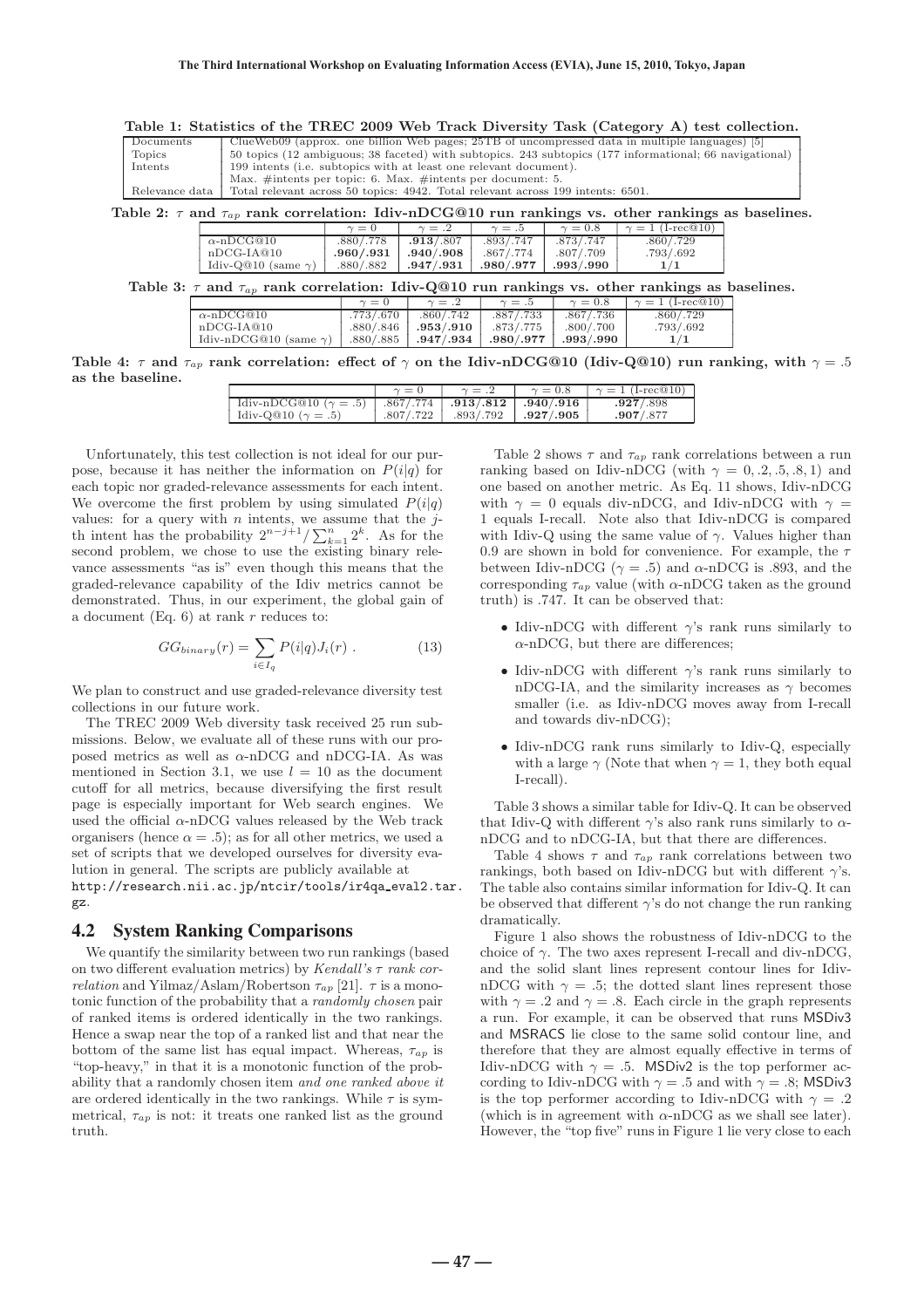| Table 1: Statistics of the TREC 2009 Web Track Diversity Task (Category A) test collection.                  |                                                                                                         |                                                                                                |            |             |             |              |                             |  |
|--------------------------------------------------------------------------------------------------------------|---------------------------------------------------------------------------------------------------------|------------------------------------------------------------------------------------------------|------------|-------------|-------------|--------------|-----------------------------|--|
| Documents                                                                                                    |                                                                                                         | ClueWeb09 (approx. one billion Web pages; 25TB of uncompressed data in multiple languages) [5] |            |             |             |              |                             |  |
| Topics                                                                                                       | 50 topics (12 ambiguous; 38 faceted) with subtopics. 243 subtopics (177 informational; 66 navigational) |                                                                                                |            |             |             |              |                             |  |
| Intents                                                                                                      | 199 intents (i.e. subtopics with at least one relevant document).                                       |                                                                                                |            |             |             |              |                             |  |
|                                                                                                              |                                                                                                         | Max. #intents per topic: 6. Max. #intents per document: 5.                                     |            |             |             |              |                             |  |
| Relevance data                                                                                               | Total relevant across 50 topics: 4942. Total relevant across 199 intents: 6501.                         |                                                                                                |            |             |             |              |                             |  |
| Table 2: $\tau$ and $\tau_{ap}$ rank correlation: Idiv-nDCG@10 run rankings vs. other rankings as baselines. |                                                                                                         |                                                                                                |            |             |             |              |                             |  |
|                                                                                                              |                                                                                                         |                                                                                                | $\gamma=0$ | $\gamma=.2$ | $\gamma=.5$ | $\gamma=0.8$ | $\gamma = 1$ (I-rec $@10$ ) |  |
|                                                                                                              |                                                                                                         | $\alpha$ -nDCG@10                                                                              | .880/.778  | .913/.807   | .893/.747   | .873/.747    | .860/.729                   |  |
|                                                                                                              |                                                                                                         | $nDCG-IA@10$                                                                                   | .960/.931  | .940/.908   | .867/.774   | .807/.709    | .793/.692                   |  |
|                                                                                                              |                                                                                                         | Idiv-Q@10 (same $\gamma$ )                                                                     | .880/.882  | .947/.931   | .980/.977   | .993/.990    | 1/1                         |  |
| Table 3: $\tau$ and $\tau_{ap}$ rank correlation: Idiv-Q@10 run rankings vs. other rankings as baselines.    |                                                                                                         |                                                                                                |            |             |             |              |                             |  |
|                                                                                                              |                                                                                                         |                                                                                                | $\gamma=0$ | $\gamma=.2$ | $\gamma=.5$ | $\gamma=0.8$ | $\gamma = 1$ (I-rec@10)     |  |
|                                                                                                              |                                                                                                         | $\alpha$ -nDCG@10                                                                              | .773/.670  | .860/.742   | .887/.733   | .867/.736    | .860/.729                   |  |
|                                                                                                              |                                                                                                         | $nDCG-IA@10$                                                                                   | .880/.846  | .953/.910   | .873/.775   | .800/.700    | .793/.692                   |  |
|                                                                                                              |                                                                                                         | Idiv-nDCG@10 (same $\gamma$ )                                                                  | .880/.885  | .947/.934   | .980/.977   | .993/.990    | 1/1                         |  |

**Table 4:**  $\tau$  and  $\tau_{ap}$  rank correlation: effect of  $\gamma$  on the Idiv-nDCG@10 (Idiv-Q@10) run ranking, with  $\gamma = .5$ **as the baseline.**

|                                                                  | $\gamma = 0$ | $\gamma = .2$                       | $\gamma = 0.8$ | $\gamma = 1$ (I-rec $@10$ ) |
|------------------------------------------------------------------|--------------|-------------------------------------|----------------|-----------------------------|
| Idiv-nDCG@10 $(\gamma = .5)$   .867/.774   .913/.812   .940/.916 |              |                                     |                | .927/.898                   |
| $\frac{1 \text{div-Q@10}}{2}$ ( $\gamma = .5$ )                  |              | $.807/.722$ $.893/.792$ $.927/.905$ |                | .907/0.877                  |

Unfortunately, this test collection is not ideal for our purpose, because it has neither the information on  $P(i|q)$  for each topic nor graded-relevance assessments for each intent. We overcome the first problem by using simulated  $P(i|q)$ values: for a query with  $n$  intents, we assume that the  $j$ th intent has the probability  $2^{n-j+1} / \sum_{k=1}^{n} 2^k$ . As for the second problem, we chose to use the existing binary relevance assessments "as is" even though this means that the graded-relevance capability of the Idiv metrics cannot be demonstrated. Thus, in our experiment, the global gain of a document (Eq.  $6$ ) at rank r reduces to:

$$
GG_{binary}(r) = \sum_{i \in I_q} P(i|q) J_i(r) . \qquad (13)
$$

We plan to construct and use graded-relevance diversity test collections in our future work.

The TREC 2009 Web diversity task received 25 run submissions. Below, we evaluate all of these runs with our proposed metrics as well as  $\alpha$ -nDCG and nDCG-IA. As was mentioned in Section 3.1, we use  $l = 10$  as the document cutoff for all metrics, because diversifying the first result page is especially important for Web search engines. We used the official  $\alpha$ -nDCG values released by the Web track organisers (hence  $\alpha = .5$ ); as for all other metrics, we used a set of scripts that we developed ourselves for diversity evalution in general. The scripts are publicly available at http://research.nii.ac.jp/ntcir/tools/ir4qa eval2.tar. gz.

#### 4.2 System Ranking Comparisons

We quantify the similarity between two run rankings (based on two different evaluation metrics) by Kendall's  $\tau$  rank cor*relation* and Yilmaz/Aslam/Robertson  $\tau_{ap}$  [21].  $\tau$  is a monotonic function of the probability that a randomly chosen pair of ranked items is ordered identically in the two rankings. Hence a swap near the top of a ranked list and that near the bottom of the same list has equal impact. Whereas,  $\tau_{ap}$  is "top-heavy," in that it is a monotonic function of the probability that a randomly chosen item and one ranked above it are ordered identically in the two rankings. While  $\tau$  is symmetrical,  $\tau_{ap}$  is not: it treats one ranked list as the ground truth.

Table 2 shows  $\tau$  and  $\tau_{ap}$  rank correlations between a run ranking based on Idiv-nDCG (with  $\gamma = 0, .2, .5, .8, 1$ ) and one based on another metric. As Eq. 11 shows, Idiv-nDCG with  $\gamma = 0$  equals div-nDCG, and Idiv-nDCG with  $\gamma =$ 1 equals I-recall. Note also that Idiv-nDCG is compared with Idiv-Q using the same value of  $\gamma$ . Values higher than 0.9 are shown in bold for convenience. For example, the  $\tau$ between Idiv-nDCG ( $\gamma = .5$ ) and  $\alpha$ -nDCG is .893, and the corresponding  $\tau_{ap}$  value (with  $\alpha$ -nDCG taken as the ground truth) is .747. It can be observed that:

- Idiv-nDCG with different  $\gamma$ 's rank runs similarly to  $\alpha$ -nDCG, but there are differences;
- Idiv-nDCG with different  $\gamma$ 's rank runs similarly to nDCG-IA, and the similarity increases as  $\gamma$  becomes smaller (i.e. as Idiv-nDCG moves away from I-recall and towards div-nDCG);
- Idiv-nDCG rank runs similarly to Idiv-Q, especially with a large  $\gamma$  (Note that when  $\gamma = 1$ , they both equal I-recall).

Table 3 shows a similar table for Idiv-Q. It can be observed that Idiv-Q with different  $\gamma$ 's also rank runs similarly to  $\alpha$ nDCG and to nDCG-IA, but that there are differences.

Table 4 shows  $\tau$  and  $\tau_{ap}$  rank correlations between two rankings, both based on Idiv-nDCG but with different  $\gamma$ 's. The table also contains similar information for Idiv-Q. It can be observed that different  $\gamma$ 's do not change the run ranking dramatically.

Figure 1 also shows the robustness of Idiv-nDCG to the choice of  $\gamma$ . The two axes represent I-recall and div-nDCG, and the solid slant lines represent contour lines for IdivnDCG with  $\gamma = .5$ ; the dotted slant lines represent those with  $\gamma = .2$  and  $\gamma = .8$ . Each circle in the graph represents a run. For example, it can be observed that runs MSDiv3 and MSRACS lie close to the same solid contour line, and therefore that they are almost equally effective in terms of Idiv-nDCG with  $\gamma = .5$ . MSDiv2 is the top performer according to Idiv-nDCG with  $\gamma = .5$  and with  $\gamma = .8$ ; MSDiv3 is the top performer according to Idiv-nDCG with  $\gamma = .2$ (which is in agreement with  $\alpha$ -nDCG as we shall see later). However, the "top five" runs in Figure 1 lie very close to each

**― 47 ―**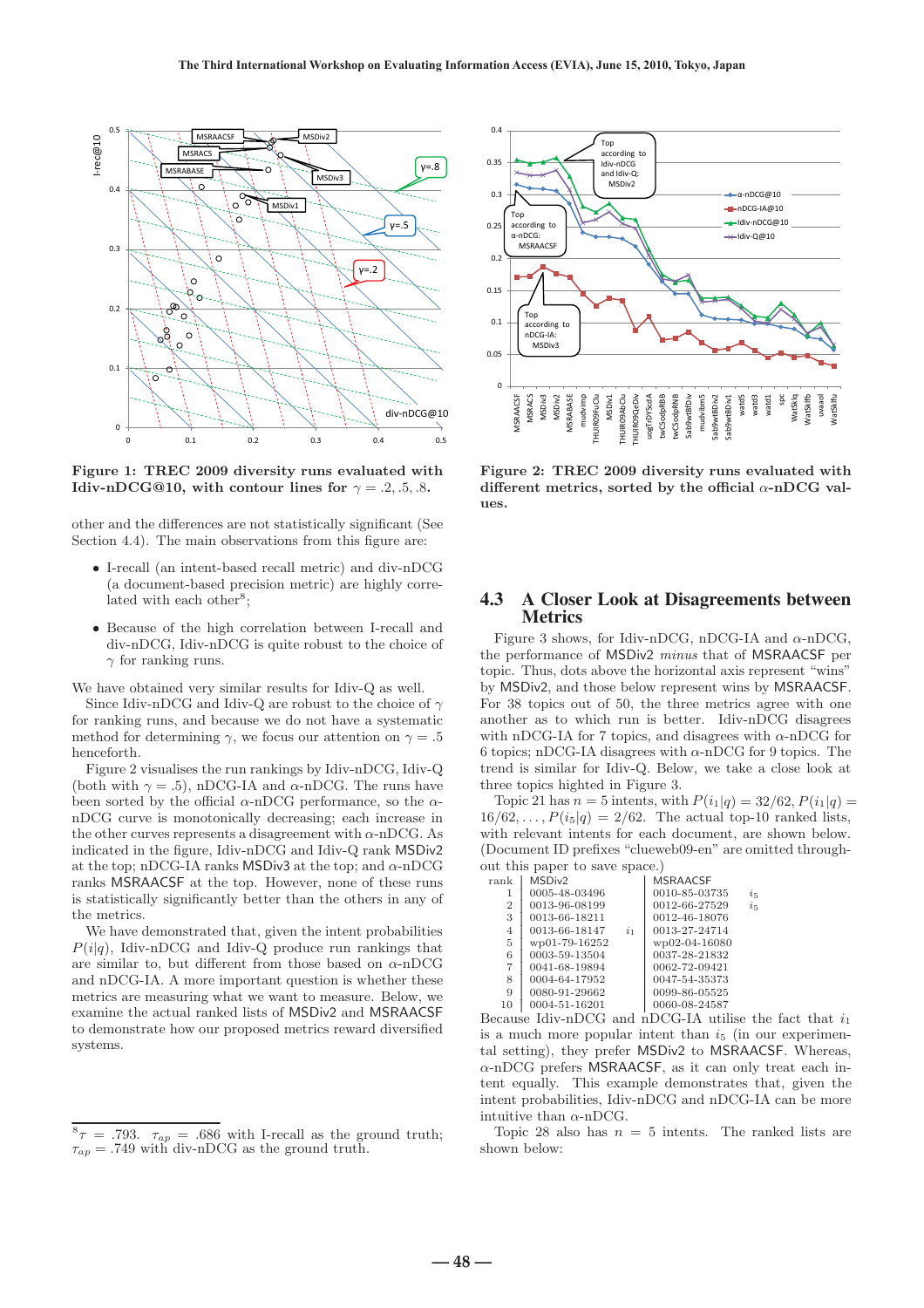

**Figure 1: TREC 2009 diversity runs evaluated with Idiv-nDCG@10, with contour lines for**  $\gamma = .2, .5, .8$ **.** 

other and the differences are not statistically significant (See Section 4.4). The main observations from this figure are:

- I-recall (an intent-based recall metric) and div-nDCG (a document-based precision metric) are highly correlated with each other<sup>8</sup>;
- Because of the high correlation between I-recall and div-nDCG, Idiv-nDCG is quite robust to the choice of  $\gamma$  for ranking runs.

We have obtained very similar results for Idiv-Q as well.

Since Idiv-nDCG and Idiv-Q are robust to the choice of  $\gamma$ for ranking runs, and because we do not have a systematic method for determining  $\gamma$ , we focus our attention on  $\gamma = .5$ henceforth.

Figure 2 visualises the run rankings by Idiv-nDCG, Idiv-Q (both with  $\gamma = .5$ ), nDCG-IA and  $\alpha$ -nDCG. The runs have been sorted by the official  $\alpha$ -nDCG performance, so the  $\alpha$ nDCG curve is monotonically decreasing; each increase in the other curves represents a disagreement with  $\alpha$ -nDCG. As indicated in the figure, Idiv-nDCG and Idiv-Q rank MSDiv2 at the top; nDCG-IA ranks MSDiv3 at the top; and  $\alpha$ -nDCG ranks MSRAACSF at the top. However, none of these runs is statistically significantly better than the others in any of the metrics.

We have demonstrated that, given the intent probabilities  $P(i|q)$ , Idiv-nDCG and Idiv-Q produce run rankings that are similar to, but different from those based on  $\alpha$ -nDCG and nDCG-IA. A more important question is whether these metrics are measuring what we want to measure. Below, we examine the actual ranked lists of MSDiv2 and MSRAACSF to demonstrate how our proposed metrics reward diversified systems.



**Figure 2: TREC 2009 diversity runs evaluated with different metrics, sorted by the official** α**-nDCG values.**

#### 4.3 A Closer Look at Disagreements between Metrics

Figure 3 shows, for Idiv-nDCG, nDCG-IA and  $\alpha$ -nDCG, the performance of MSDiv2 minus that of MSRAACSF per topic. Thus, dots above the horizontal axis represent "wins" by MSDiv2, and those below represent wins by MSRAACSF. For 38 topics out of 50, the three metrics agree with one another as to which run is better. Idiv-nDCG disagrees with nDCG-IA for 7 topics, and disagrees with  $\alpha$ -nDCG for 6 topics; nDCG-IA disagrees with  $\alpha$ -nDCG for 9 topics. The trend is similar for Idiv-Q. Below, we take a close look at three topics highted in Figure 3.

Topic 21 has  $n = 5$  intents, with  $P(i_1|q) = 32/62, P(i_1|q) =$  $16/62, \ldots, P(i_5|q) = 2/62$ . The actual top-10 ranked lists, with relevant intents for each document, are shown below. (Document ID prefixes "clueweb09-en" are omitted throughout this paper to save space.)

| $\operatorname*{rank}% \mathcal{M}(n)$ | MSDiv <sub>2</sub> |                | <b>MSRAACSE</b> |         |
|----------------------------------------|--------------------|----------------|-----------------|---------|
| 1                                      | 0005-48-03496      |                | 0010-85-03735   | $i_{5}$ |
| $\overline{2}$                         | 0013-96-08199      |                | 0012-66-27529   | $i_{5}$ |
| 3                                      | 0013-66-18211      |                | 0012-46-18076   |         |
| 4                                      | 0013-66-18147      | i <sub>1</sub> | 0013-27-24714   |         |
| 5                                      | wp01-79-16252      |                | wp02-04-16080   |         |
| 6                                      | 0003-59-13504      |                | 0037-28-21832   |         |
| 7                                      | 0041-68-19894      |                | 0062-72-09421   |         |
| 8                                      | 0004-64-17952      |                | 0047-54-35373   |         |
| 9                                      | 0080-91-29662      |                | 0099-86-05525   |         |
| 10                                     | 0004-51-16201      |                | 0060-08-24587   |         |

Because Idiv-nDCG and nDCG-IA utilise the fact that  $i_1$ is a much more popular intent than  $i_5$  (in our experimental setting), they prefer MSDiv2 to MSRAACSF. Whereas, α-nDCG prefers MSRAACSF, as it can only treat each intent equally. This example demonstrates that, given the intent probabilities, Idiv-nDCG and nDCG-IA can be more intuitive than  $\alpha$ -nDCG.

Topic 28 also has  $n = 5$  intents. The ranked lists are shown below:

 ${}^{8} \tau = .793$ .  $\tau_{ap} = .686$  with I-recall as the ground truth;  $\tau_{ap} = .749$  with div-nDCG as the ground truth.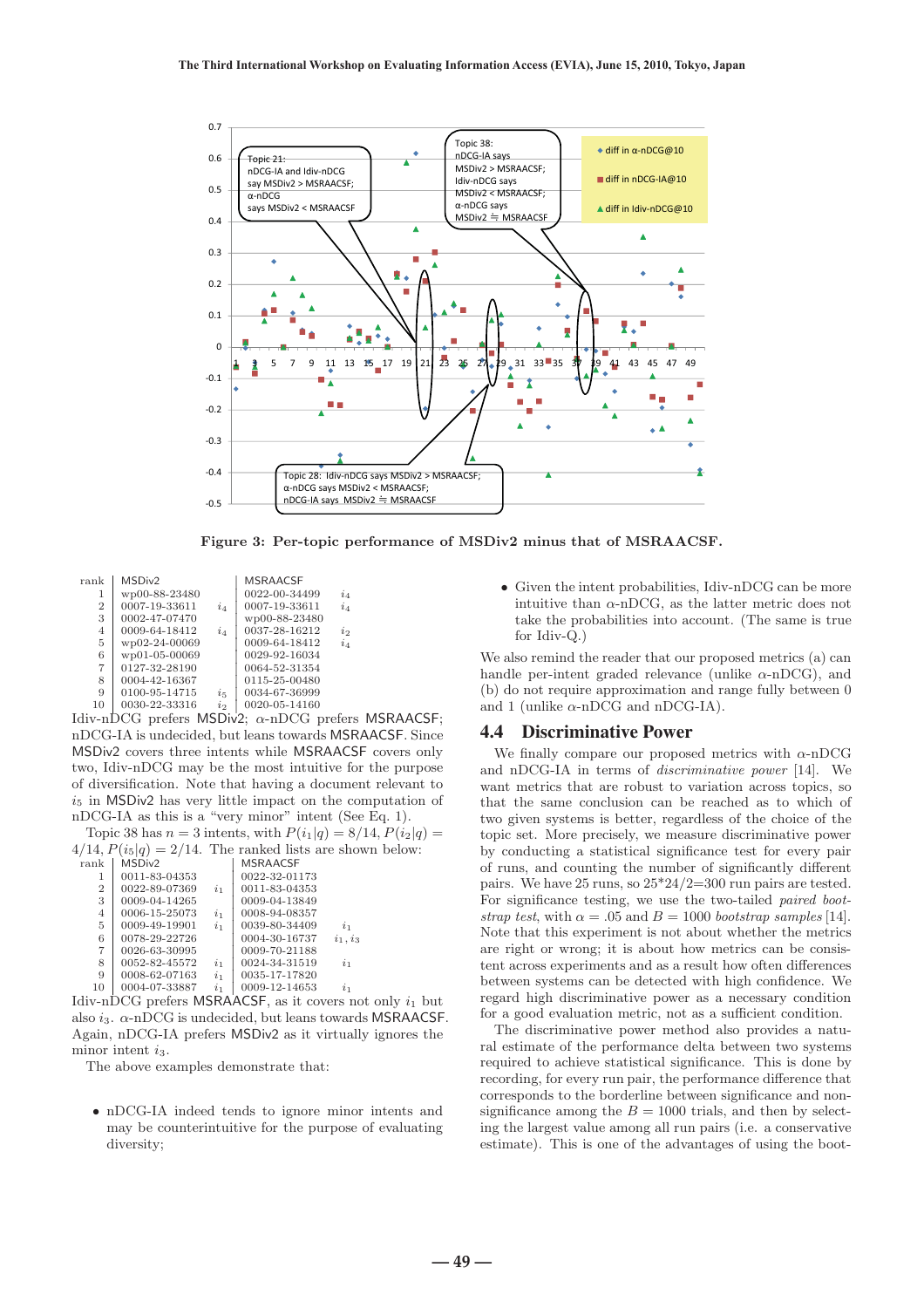

**Figure 3: Per-topic performance of MSDiv2 minus that of MSRAACSF.**

| rank           | MSDiv <sub>2</sub> |           | <b>MSRAACSE</b> |           |
|----------------|--------------------|-----------|-----------------|-----------|
| 1              | wp00-88-23480      |           | 0022-00-34499   | $i_4$     |
| $\overline{2}$ | 0007-19-33611      | $i_4$     | 0007-19-33611   | $i_4$     |
| 3              | 0002-47-07470      |           | wp00-88-23480   |           |
| 4              | 0009-64-18412      | $i_4$     | 0037-28-16212   | $\dot{i}$ |
| 5              | wp02-24-00069      |           | 0009-64-18412   | $i_4$     |
| 6              | wp01-05-00069      |           | 0029-92-16034   |           |
| $\overline{7}$ | 0127-32-28190      |           | 0064-52-31354   |           |
| 8              | 0004-42-16367      |           | 0115-25-00480   |           |
| 9              | 0100-95-14715      | $i_{5}$   | 0034-67-36999   |           |
| 10             | 0030-22-33316      | $\dot{i}$ | 0020-05-14160   |           |
|                |                    |           |                 |           |

Idiv-nDCG prefers MSDiv2; α-nDCG prefers MSRAACSF; nDCG-IA is undecided, but leans towards MSRAACSF. Since MSDiv2 covers three intents while MSRAACSF covers only two, Idiv-nDCG may be the most intuitive for the purpose of diversification. Note that having a document relevant to  $i<sub>5</sub>$  in MSDiv2 has very little impact on the computation of nDCG-IA as this is a "very minor" intent (See Eq. 1).

Topic 38 has  $n = 3$  intents, with  $P(i_1|q) = 8/14$ ,  $P(i_2|q) =$  $4/14$ ,  $P(i_5|q) = 2/14$ . The ranked lists are shown below:<br>rank | MSDiv2 | MSRAACSE

| $\operatorname*{rank}% \mathcal{M}(n)$ | MSDiv <sub>2</sub> |             | <b>MSRAACSF</b> |                |
|----------------------------------------|--------------------|-------------|-----------------|----------------|
| 1                                      | 0011-83-04353      |             | 0022-32-01173   |                |
| $\overline{2}$                         | 0022-89-07369      | $i_{1}$     | 0011-83-04353   |                |
| 3                                      | 0009-04-14265      |             | 0009-04-13849   |                |
| 4                                      | 0006-15-25073      | $\dot{i}_1$ | 0008-94-08357   |                |
| 5                                      | 0009-49-19901      | $\dot{i}_1$ | 0039-80-34409   | i <sub>1</sub> |
| 6                                      | 0078-29-22726      |             | 0004-30-16737   | $i_1, i_3$     |
| 7                                      | 0026-63-30995      |             | 0009-70-21188   |                |
| 8                                      | 0052-82-45572      | $i_{1}$     | 0024-34-31519   | $i_{1}$        |
| 9                                      | 0008-62-07163      | $\dot{i}_1$ | 0035-17-17820   |                |
| 10                                     | 0004-07-33887      | $\dot{i}_1$ | 0009-12-14653   | $i_{1}$        |
|                                        |                    |             |                 |                |

Idiv-nDCG prefers MSRAACSF, as it covers not only  $i_1$  but also  $i_3$ .  $\alpha$ -nDCG is undecided, but leans towards MSRAACSF. Again, nDCG-IA prefers MSDiv2 as it virtually ignores the minor intent  $i_3$ .

The above examples demonstrate that:

• nDCG-IA indeed tends to ignore minor intents and may be counterintuitive for the purpose of evaluating diversity;

• Given the intent probabilities, Idiv-nDCG can be more intuitive than  $\alpha$ -nDCG, as the latter metric does not take the probabilities into account. (The same is true for Idiv-Q.)

We also remind the reader that our proposed metrics (a) can handle per-intent graded relevance (unlike  $\alpha$ -nDCG), and (b) do not require approximation and range fully between 0 and 1 (unlike  $\alpha$ -nDCG and nDCG-IA).

#### 4.4 Discriminative Power

We finally compare our proposed metrics with  $\alpha$ -nDCG and nDCG-IA in terms of discriminative power [14]. We want metrics that are robust to variation across topics, so that the same conclusion can be reached as to which of two given systems is better, regardless of the choice of the topic set. More precisely, we measure discriminative power by conducting a statistical significance test for every pair of runs, and counting the number of significantly different pairs. We have 25 runs, so 25\*24/2=300 run pairs are tested. For significance testing, we use the two-tailed paired bootstrap test, with  $\alpha = .05$  and  $B = 1000$  bootstrap samples [14]. Note that this experiment is not about whether the metrics are right or wrong; it is about how metrics can be consistent across experiments and as a result how often differences between systems can be detected with high confidence. We regard high discriminative power as a necessary condition for a good evaluation metric, not as a sufficient condition.

The discriminative power method also provides a natural estimate of the performance delta between two systems required to achieve statistical significance. This is done by recording, for every run pair, the performance difference that corresponds to the borderline between significance and nonsignificance among the  $B = 1000$  trials, and then by selecting the largest value among all run pairs (i.e. a conservative estimate). This is one of the advantages of using the boot-

**― 49 ―**